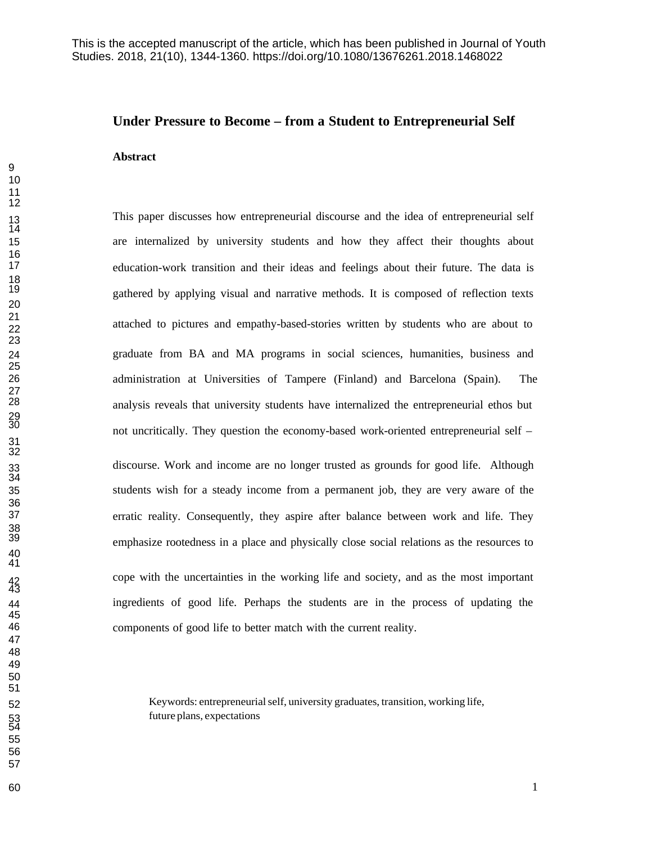# **Under Pressure to Become – from a Student to Entrepreneurial Self**

#### **Abstract**

This paper discusses how entrepreneurial discourse and the idea of entrepreneurial self are internalized by university students and how they affect their thoughts about education-work transition and their ideas and feelings about their future. The data is gathered by applying visual and narrative methods. It is composed of reflection texts attached to pictures and empathy-based-stories written by students who are about to graduate from BA and MA programs in social sciences, humanities, business and administration at Universities of Tampere (Finland) and Barcelona (Spain). The analysis reveals that university students have internalized the entrepreneurial ethos but not uncritically. They question the economy-based work-oriented entrepreneurial self – <sup>31</sup>

discourse. Work and income are no longer trusted as grounds for good life. Although students wish for a steady income from a permanent job, they are very aware of the erratic reality. Consequently, they aspire after balance between work and life. They emphasize rootedness in a place and physically close social relations as the resources to cope with the uncertainties in the working life and society, and as the most important ingredients of good life. Perhaps the students are in the process of updating the components of good life to better match with the current reality.

 Keywords: entrepreneurialself, university graduates, transition, working life, future plans, expectations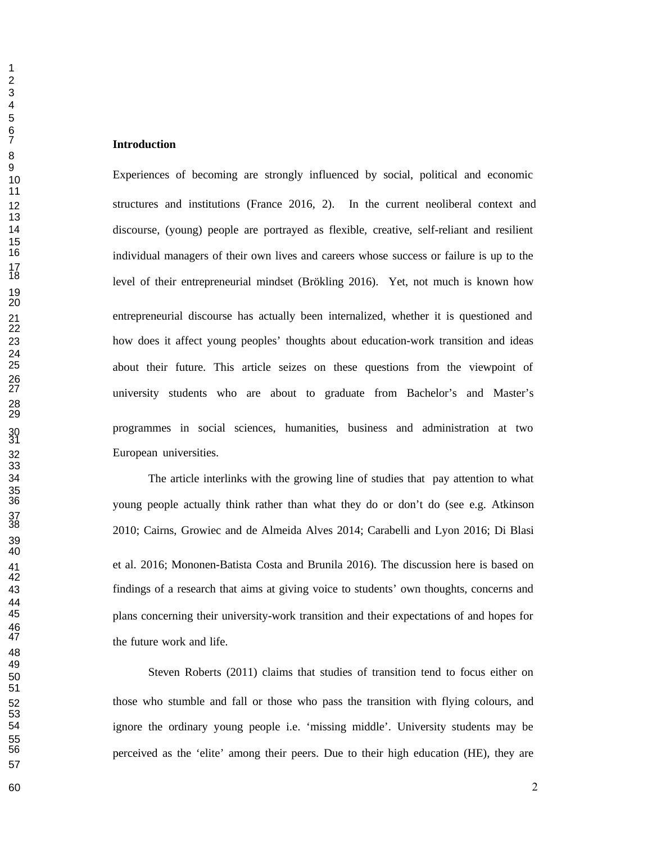Experiences of becoming are strongly influenced by social, political and economic structures and institutions (France 2016, 2). In the current neoliberal context and discourse, (young) people are portrayed as flexible, creative, self-reliant and resilient individual managers of their own lives and careers whose success or failure is up to the level of their entrepreneurial mindset (Brökling 2016). Yet, not much is known how entrepreneurial discourse has actually been internalized, whether it is questioned and how does it affect young peoples' thoughts about education-work transition and ideas about their future. This article seizes on these questions from the viewpoint of university students who are about to graduate from Bachelor's and Master's programmes in social sciences, humanities, business and administration at two European universities.

 The article interlinks with the growing line of studies that pay attention to what young people actually think rather than what they do or don't do (see e.g. Atkinson 2010; Cairns, Growiec and de Almeida Alves 2014; Carabelli and Lyon 2016; Di Blasi et al. 2016; Mononen-Batista Costa and Brunila 2016). The discussion here is based on findings of a research that aims at giving voice to students' own thoughts, concerns and plans concerning their university-work transition and their expectations of and hopes for the future work and life.

 Steven Roberts (2011) claims that studies of transition tend to focus either on those who stumble and fall or those who pass the transition with flying colours, and ignore the ordinary young people i.e. 'missing middle'. University students may be perceived as the 'elite' among their peers. Due to their high education (HE), they are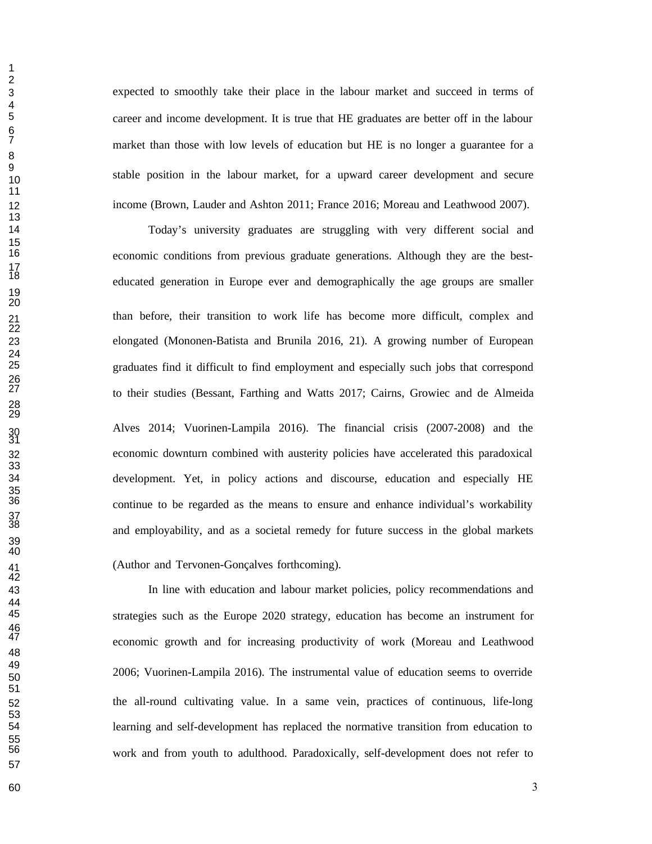expected to smoothly take their place in the labour market and succeed in terms of career and income development. It is true that HE graduates are better off in the labour market than those with low levels of education but HE is no longer a guarantee for a stable position in the labour market, for a upward career development and secure income (Brown, Lauder and Ashton 2011; France 2016; Moreau and Leathwood 2007).

 Today's university graduates are struggling with very different social and economic conditions from previous graduate generations. Although they are the best- educated generation in Europe ever and demographically the age groups are smaller than before, their transition to work life has become more difficult, complex and elongated (Mononen-Batista and Brunila 2016, 21). A growing number of European graduates find it difficult to find employment and especially such jobs that correspond to their studies (Bessant, Farthing and Watts 2017; Cairns, Growiec and de Almeida Alves 2014; Vuorinen-Lampila 2016). The financial crisis (2007-2008) and the economic downturn combined with austerity policies have accelerated this paradoxical development. Yet, in policy actions and discourse, education and especially HE continue to be regarded as the means to ensure and enhance individual's workability and employability, and as a societal remedy for future success in the global markets (Author and Tervonen-Gonçalves forthcoming).

 In line with education and labour market policies, policy recommendations and strategies such as the Europe 2020 strategy, education has become an instrument for economic growth and for increasing productivity of work (Moreau and Leathwood 2006; Vuorinen-Lampila 2016). The instrumental value of education seems to override the all-round cultivating value. In a same vein, practices of continuous, life-long learning and self-development has replaced the normative transition from education to work and from youth to adulthood. Paradoxically, self-development does not refer to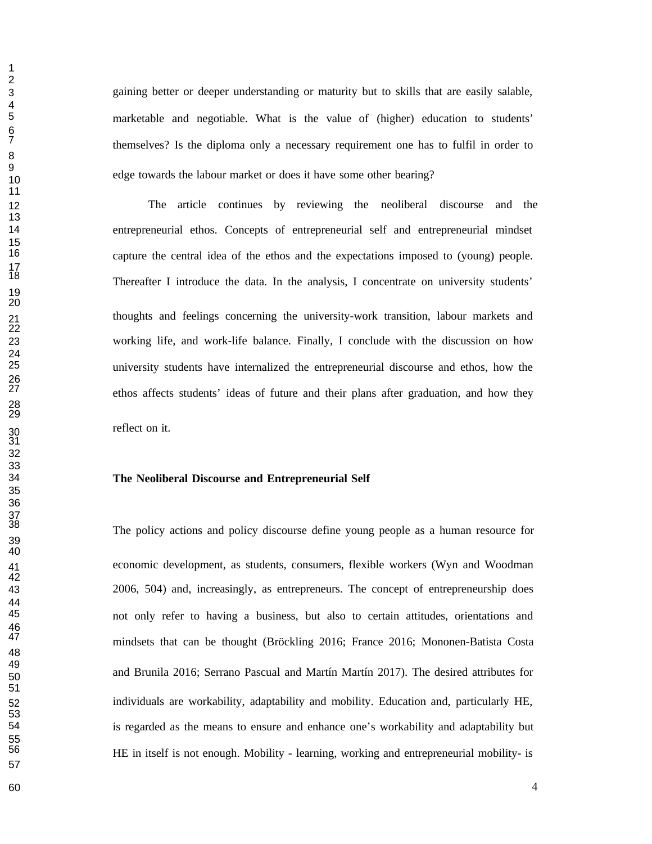gaining better or deeper understanding or maturity but to skills that are easily salable, marketable and negotiable. What is the value of (higher) education to students' themselves? Is the diploma only a necessary requirement one has to fulfil in order to edge towards the labour market or does it have some other bearing?

 The article continues by reviewing the neoliberal discourse and the entrepreneurial ethos. Concepts of entrepreneurial self and entrepreneurial mindset capture the central idea of the ethos and the expectations imposed to (young) people. Thereafter I introduce the data. In the analysis, I concentrate on university students' thoughts and feelings concerning the university-work transition, labour markets and working life, and work-life balance. Finally, I conclude with the discussion on how university students have internalized the entrepreneurial discourse and ethos, how the ethos affects students' ideas of future and their plans after graduation, and how they reflect on it.

# **The Neoliberal Discourse and Entrepreneurial Self**

The policy actions and policy discourse define young people as a human resource for economic development, as students, consumers, flexible workers (Wyn and Woodman 2006, 504) and, increasingly, as entrepreneurs. The concept of entrepreneurship does not only refer to having a business, but also to certain attitudes, orientations and mindsets that can be thought (Bröckling 2016; France 2016; Mononen-Batista Costa and Brunila 2016; Serrano Pascual and Martín Martín 2017). The desired attributes for individuals are workability, adaptability and mobility. Education and, particularly HE, is regarded as the means to ensure and enhance one's workability and adaptability but HE in itself is not enough. Mobility - learning, working and entrepreneurial mobility- is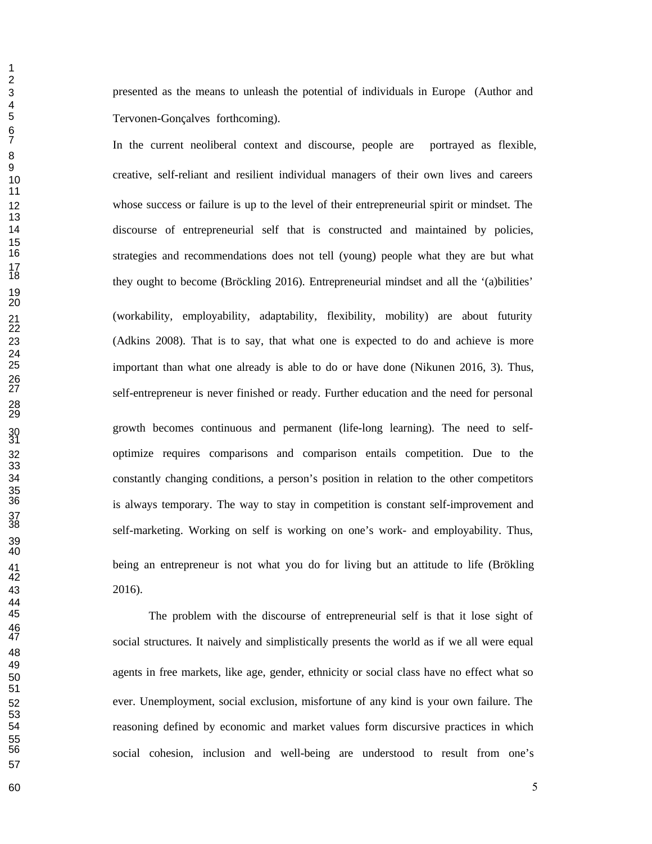presented as the means to unleash the potential of individuals in Europe (Author and Tervonen-Gonçalves forthcoming).

In the current neoliberal context and discourse, people are portrayed as flexible, creative, self-reliant and resilient individual managers of their own lives and careers whose success or failure is up to the level of their entrepreneurial spirit or mindset. The discourse of entrepreneurial self that is constructed and maintained by policies, strategies and recommendations does not tell (young) people what they are but what they ought to become (Bröckling 2016). Entrepreneurial mindset and all the '(a)bilities' (workability, employability, adaptability, flexibility, mobility) are about futurity (Adkins 2008). That is to say, that what one is expected to do and achieve is more important than what one already is able to do or have done (Nikunen 2016, 3). Thus, self-entrepreneur is never finished or ready. Further education and the need for personal growth becomes continuous and permanent (life-long learning). The need to self- optimize requires comparisons and comparison entails competition. Due to the constantly changing conditions, a person's position in relation to the other competitors is always temporary. The way to stay in competition is constant self-improvement and self-marketing. Working on self is working on one's work- and employability. Thus, being an entrepreneur is not what you do for living but an attitude to life (Brökling 2016).

The problem with the discourse of entrepreneurial self is that it lose sight of social structures. It naively and simplistically presents the world as if we all were equal agents in free markets, like age, gender, ethnicity or social class have no effect what so ever. Unemployment, social exclusion, misfortune of any kind is your own failure. The reasoning defined by economic and market values form discursive practices in which social cohesion, inclusion and well-being are understood to result from one's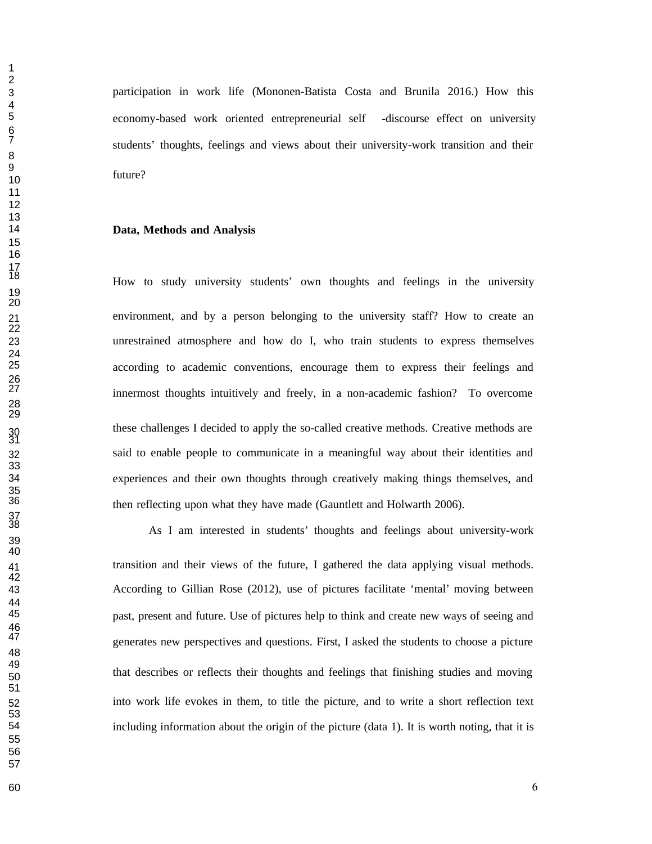participation in work life (Mononen-Batista Costa and Brunila 2016.) How this economy-based work oriented entrepreneurial self -discourse effect on university students' thoughts, feelings and views about their university-work transition and their future?

### **Data, Methods and Analysis**

 How to study university students' own thoughts and feelings in the university environment, and by a person belonging to the university staff? How to create an unrestrained atmosphere and how do I, who train students to express themselves according to academic conventions, encourage them to express their feelings and innermost thoughts intuitively and freely, in a non-academic fashion? To overcome these challenges I decided to apply the so-called creative methods. Creative methods are said to enable people to communicate in a meaningful way about their identities and experiences and their own thoughts through creatively making things themselves, and then reflecting upon what they have made (Gauntlett and Holwarth 2006).

 transition and their views of the future, I gathered the data applying visual methods. According to Gillian Rose (2012), use of pictures facilitate 'mental' moving between past, present and future. Use of pictures help to think and create new ways of seeing and generates new perspectives and questions. First, I asked the students to choose a picture that describes or reflects their thoughts and feelings that finishing studies and moving into work life evokes in them, to title the picture, and to write a short reflection text including information about the origin of the picture (data 1). It is worth noting, that it is

As I am interested in students' thoughts and feelings about university-work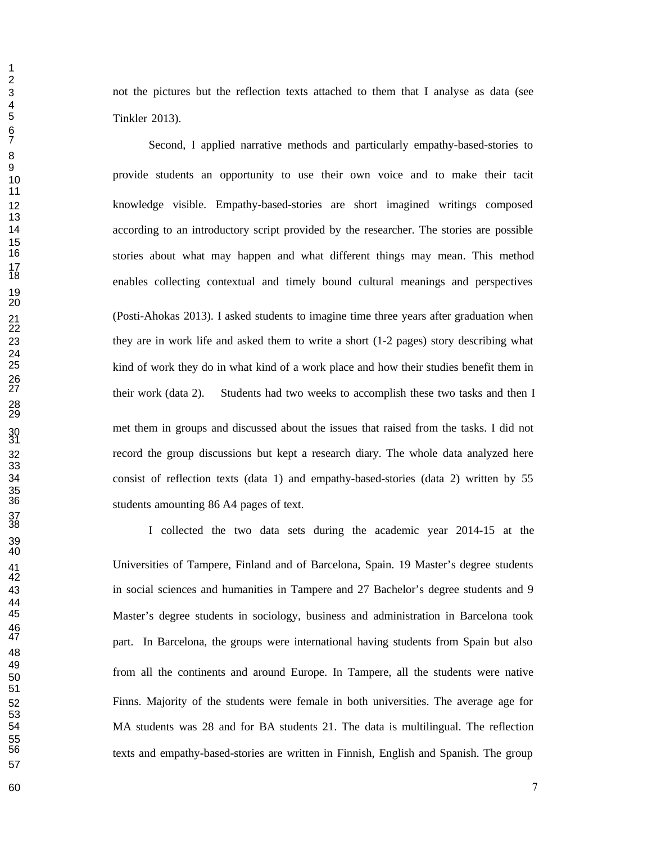not the pictures but the reflection texts attached to them that I analyse as data (see Tinkler 2013).

Second, I applied narrative methods and particularly empathy-based-stories to provide students an opportunity to use their own voice and to make their tacit knowledge visible. Empathy-based-stories are short imagined writings composed according to an introductory script provided by the researcher. The stories are possible stories about what may happen and what different things may mean. This method enables collecting contextual and timely bound cultural meanings and perspectives (Posti-Ahokas 2013). I asked students to imagine time three years after graduation when they are in work life and asked them to write a short (1-2 pages) story describing what kind of work they do in what kind of a work place and how their studies benefit them in their work (data 2). Students had two weeks to accomplish these two tasks and then I met them in groups and discussed about the issues that raised from the tasks. I did not record the group discussions but kept a research diary. The whole data analyzed here consist of reflection texts (data 1) and empathy-based-stories (data 2) written by 55 students amounting 86 A4 pages of text.

I collected the two data sets during the academic year 2014-15 at the Universities of Tampere, Finland and of Barcelona, Spain. 19 Master's degree students in social sciences and humanities in Tampere and 27 Bachelor's degree students and 9 Master's degree students in sociology, business and administration in Barcelona took part. In Barcelona, the groups were international having students from Spain but also from all the continents and around Europe. In Tampere, all the students were native Finns. Majority of the students were female in both universities. The average age for MA students was 28 and for BA students 21. The data is multilingual. The reflection texts and empathy-based-stories are written in Finnish, English and Spanish. The group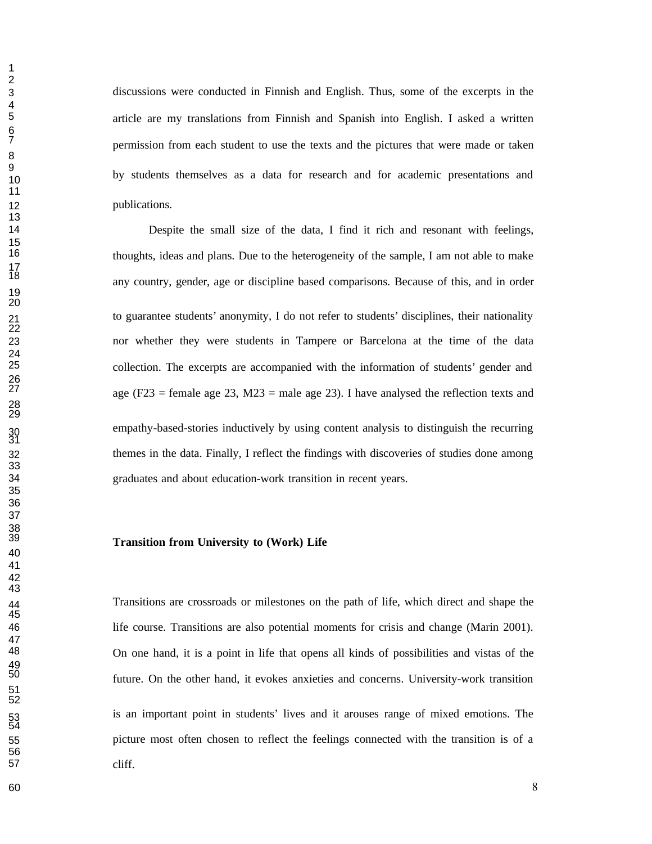discussions were conducted in Finnish and English. Thus, some of the excerpts in the article are my translations from Finnish and Spanish into English. I asked a written permission from each student to use the texts and the pictures that were made or taken by students themselves as a data for research and for academic presentations and 12 publications.

 Despite the small size of the data, I find it rich and resonant with feelings, thoughts, ideas and plans. Due to the heterogeneity of the sample, I am not able to make any country, gender, age or discipline based comparisons. Because of this, and in order to guarantee students' anonymity, I do not refer to students' disciplines, their nationality nor whether they were students in Tampere or Barcelona at the time of the data collection. The excerpts are accompanied with the information of students' gender and age (F23 = female age 23, M23 = male age 23). I have analysed the reflection texts and empathy-based-stories inductively by using content analysis to distinguish the recurring themes in the data. Finally, I reflect the findings with discoveries of studies done among graduates and about education-work transition in recent years.

### **Transition from University to (Work) Life**

 Transitions are crossroads or milestones on the path of life, which direct and shape the life course. Transitions are also potential moments for crisis and change (Marin 2001). On one hand, it is a point in life that opens all kinds of possibilities and vistas of the future. On the other hand, it evokes anxieties and concerns. University-work transition is an important point in students' lives and it arouses range of mixed emotions. The picture most often chosen to reflect the feelings connected with the transition is of a cliff.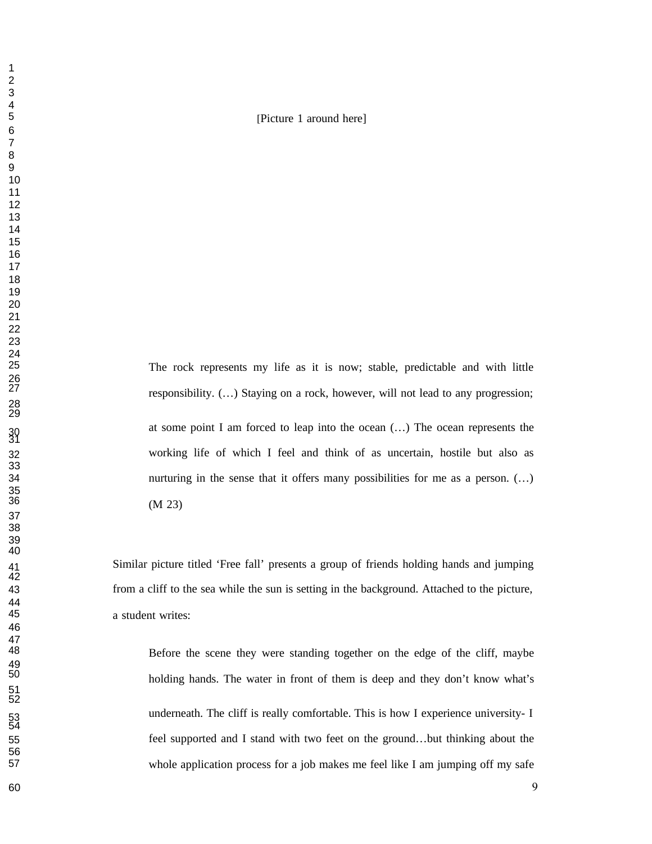## [Picture 1 around here]

The rock represents my life as it is now; stable, predictable and with little responsibility.  $(...)$  Staying on a rock, however, will not lead to any progression; at some point I am forced to leap into the ocean  $(...)$  The ocean represents the working life of which I feel and think of as uncertain, hostile but also as nurturing in the sense that it offers many possibilities for me as a person. (…)  $(M 23)$ 

 Similar picture titled 'Free fall' presents a group of friends holding hands and jumping from a cliff to the sea while the sun is setting in the background. Attached to the picture, a student writes:

Before the scene they were standing together on the edge of the cliff, maybe holding hands. The water in front of them is deep and they don't know what's underneath. The cliff is really comfortable. This is how I experience university- I feel supported and I stand with two feet on the ground…but thinking about the whole application process for a job makes me feel like I am jumping off my safe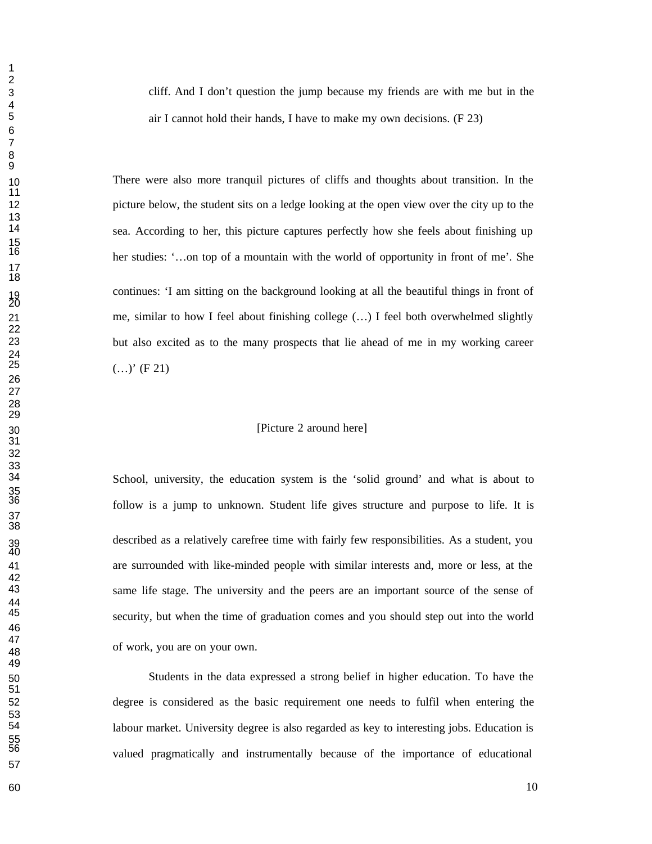cliff. And I don't question the jump because my friends are with me but in the air I cannot hold their hands, I have to make my own decisions.  $(F 23)$ 

 There were also more tranquil pictures of cliffs and thoughts about transition. In the picture below, the student sits on a ledge looking at the open view over the city up to the sea. According to her, this picture captures perfectly how she feels about finishing up her studies: '…on top of a mountain with the world of opportunity in front of me'*.* She continues: 'I am sitting on the background looking at all the beautiful things in front of me, similar to how I feel about finishing college (…) I feel both overwhelmed slightly but also excited as to the many prospects that lie ahead of me in my working career  $(...)'$  (F 21)

# [Picture 2 around here]

School, university, the education system is the 'solid ground' and what is about to follow is a jump to unknown. Student life gives structure and purpose to life. It is described as a relatively carefree time with fairly few responsibilities. As a student, you are surrounded with like-minded people with similar interests and, more or less, at the same life stage. The university and the peers are an important source of the sense of security, but when the time of graduation comes and you should step out into the world of work, you are on your own.

 Students in the data expressed a strong belief in higher education. To have the degree is considered as the basic requirement one needs to fulfil when entering the labour market. University degree is also regarded as key to interesting jobs. Education is valued pragmatically and instrumentally because of the importance of educational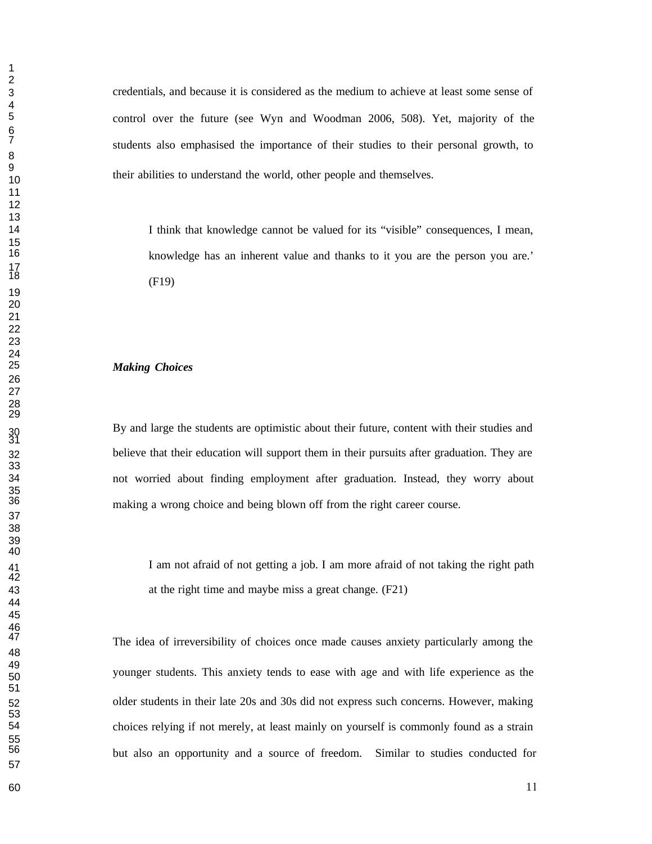credentials, and because it is considered as the medium to achieve at least some sense of control over the future (see Wyn and Woodman 2006, 508). Yet, majority of the students also emphasised the importance of their studies to their personal growth, to their abilities to understand the world, other people and themselves.

 I think that knowledge cannot be valued for its "visible" consequences, I mean, knowledge has an inherent value and thanks to it you are the person you are.'  $(F19)$ 

### *Making Choices*

By and large the students are optimistic about their future, content with their studies and believe that their education will support them in their pursuits after graduation. They are not worried about finding employment after graduation. Instead, they worry about making a wrong choice and being blown off from the right career course.

I am not afraid of not getting a job. I am more afraid of not taking the right path at the right time and maybe miss a great change. (F21)

The idea of irreversibility of choices once made causes anxiety particularly among the younger students. This anxiety tends to ease with age and with life experience as the older students in their late 20s and 30s did not express such concerns. However, making choices relying if not merely, at least mainly on yourself is commonly found as a strain but also an opportunity and a source of freedom. Similar to studies conducted for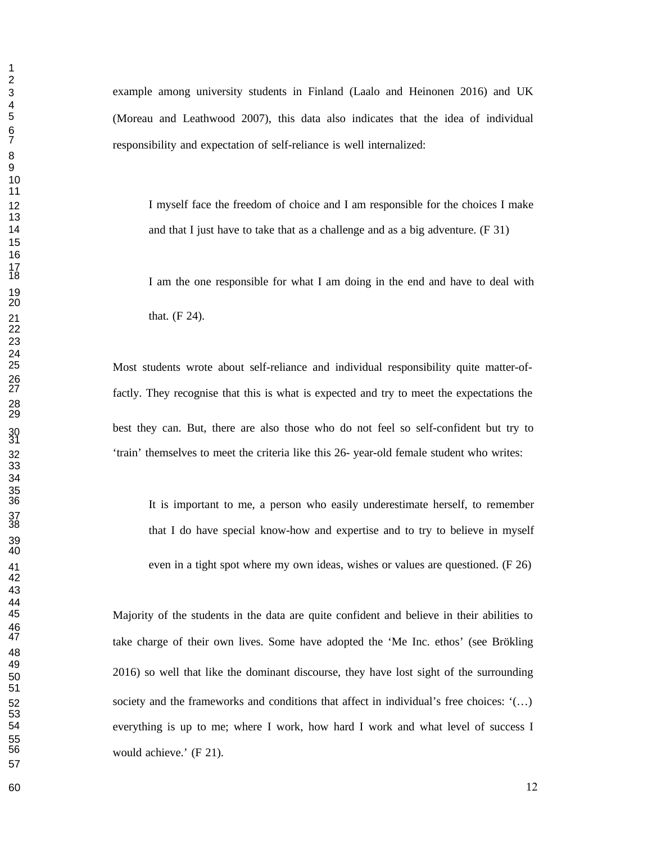example among university students in Finland (Laalo and Heinonen 2016) and UK (Moreau and Leathwood 2007), this data also indicates that the idea of individual responsibility and expectation of self-reliance is well internalized:

12 I myself face the freedom of choice and I am responsible for the choices I make 14 and that I just have to take that as a challenge and as a big adventure. (F 31)

I am the one responsible for what I am doing in the end and have to deal with 21 that. (F 24).

 Most students wrote about self-reliance and individual responsibility quite matter-of factly. They recognise that this is what is expected and try to meet the expectations the best they can. But, there are also those who do not feel so self-confident but try to 'train' themselves to meet the criteria like this 26- year-old female student who writes:

It is important to me, a person who easily underestimate herself, to remember that I do have special know-how and expertise and to try to believe in myself even in a tight spot where my own ideas, wishes or values are questioned. (F 26)

Majority of the students in the data are quite confident and believe in their abilities to take charge of their own lives. Some have adopted the 'Me Inc. ethos' (see Brökling 2016) so well that like the dominant discourse, they have lost sight of the surrounding society and the frameworks and conditions that affect in individual's free choices: '(…) everything is up to me; where I work, how hard I work and what level of success I would achieve.'  $(F 21)$ .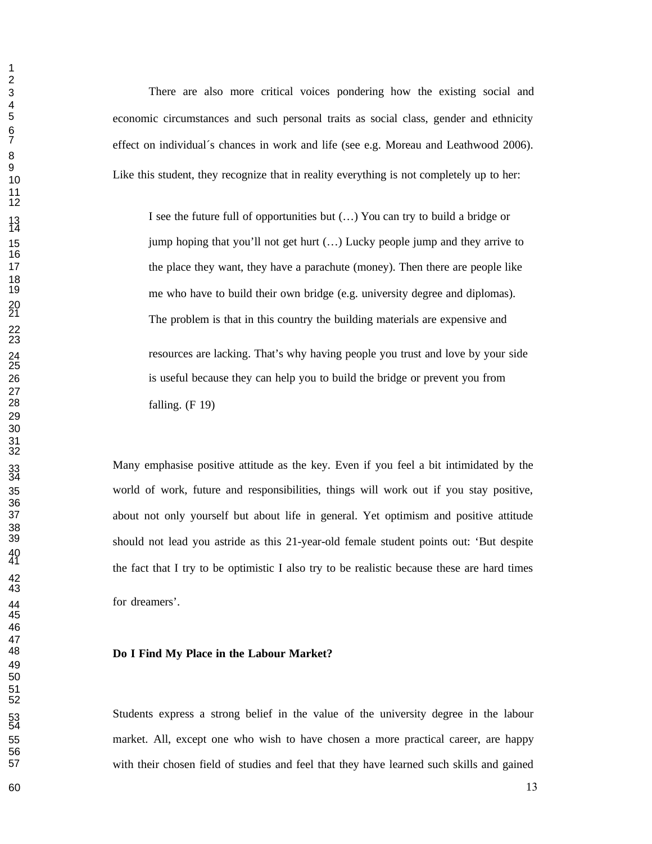There are also more critical voices pondering how the existing social and economic circumstances and such personal traits as social class, gender and ethnicity effect on individual's chances in work and life (see e.g. Moreau and Leathwood 2006). Like this student, they recognize that in reality everything is not completely up to her:

I see the future full of opportunities but  $(...)$  You can try to build a bridge or 15 jump hoping that you'll not get hurt (...) Lucky people jump and they arrive to 17 the place they want, they have a parachute (money). Then there are people like me who have to build their own bridge (e.g. university degree and diplomas). The problem is that in this country the building materials are expensive and resources are lacking. That's why having people you trust and love by your side is useful because they can help you to build the bridge or prevent you from falling.  $(F 19)$ 

Many emphasise positive attitude as the key. Even if you feel a bit intimidated by the world of work, future and responsibilities, things will work out if you stay positive, about not only yourself but about life in general. Yet optimism and positive attitude should not lead you astride as this 21-year-old female student points out: 'But despite the fact that I try to be optimistic I also try to be realistic because these are hard times for dreamers'.

#### **Do I Find My Place in the Labour Market?**

Students express a strong belief in the value of the university degree in the labour market. All, except one who wish to have chosen a more practical career, are happy with their chosen field of studies and feel that they have learned such skills and gained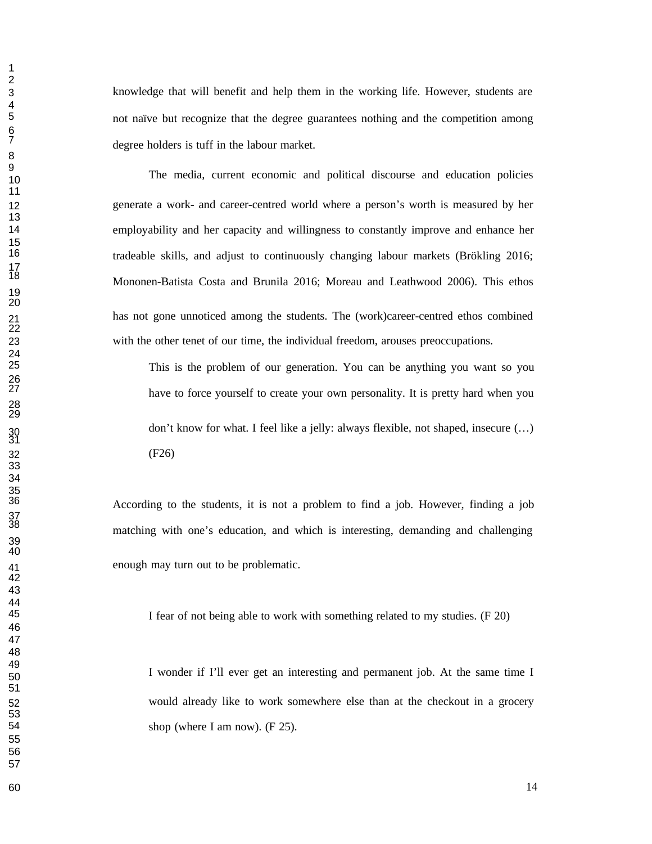knowledge that will benefit and help them in the working life. However, students are not naïve but recognize that the degree guarantees nothing and the competition among degree holders is tuff in the labour market.

 The media, current economic and political discourse and education policies generate a work- and career-centred world where a person's worth is measured by her employability and her capacity and willingness to constantly improve and enhance her tradeable skills, and adjust to continuously changing labour markets (Brökling 2016; Mononen-Batista Costa and Brunila 2016; Moreau and Leathwood 2006). This ethos has not gone unnoticed among the students. The (work)career-centred ethos combined with the other tenet of our time, the individual freedom, arouses preoccupations.

 This is the problem of our generation. You can be anything you want so you have to force yourself to create your own personality. It is pretty hard when you don't know for what. I feel like a jelly: always flexible, not shaped, insecure  $(...)$ (F26)

> According to the students, it is not a problem to find a job. However, finding a job matching with one's education, and which is interesting, demanding and challenging enough may turn out to be problematic.

I fear of not being able to work with something related to my studies. (F 20)

 I wonder if I'll ever get an interesting and permanent job. At the same time I would already like to work somewhere else than at the checkout in a grocery shop (where I am now).  $(F 25)$ .

60 and 14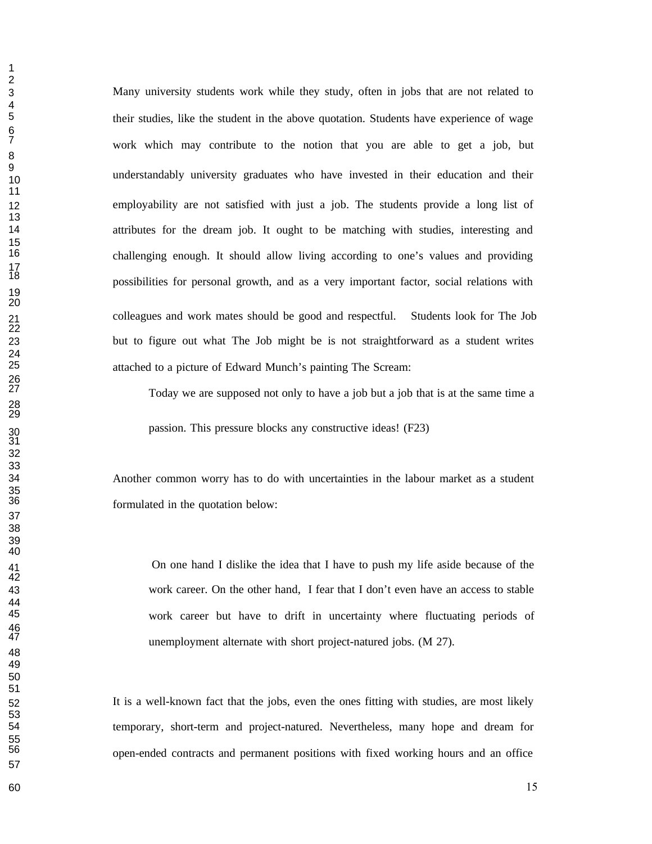Many university students work while they study, often in jobs that are not related to their studies, like the student in the above quotation. Students have experience of wage work which may contribute to the notion that you are able to get a job, but understandably university graduates who have invested in their education and their employability are not satisfied with just a job. The students provide a long list of attributes for the dream job. It ought to be matching with studies, interesting and challenging enough. It should allow living according to one's values and providing possibilities for personal growth, and as a very important factor, social relations with colleagues and work mates should be good and respectful. Students look for The Job but to figure out what The Job might be is not straightforward as a student writes attached to a picture of Edward Munch's painting The Scream:

Today we are supposed not only to have a job but a job that is at the same time a

passion. This pressure blocks any constructive ideas! (F23)

 Another common worry has to do with uncertainties in the labour market as a student formulated in the quotation below:

 On one hand I dislike the idea that I have to push my life aside because of the work career. On the other hand, I fear that I don't even have an access to stable work career but have to drift in uncertainty where fluctuating periods of unemployment alternate with short project-natured jobs. (M 27).

 It is a well-known fact that the jobs, even the ones fitting with studies, are most likely temporary, short-term and project-natured. Nevertheless, many hope and dream for open-ended contracts and permanent positions with fixed working hours and an office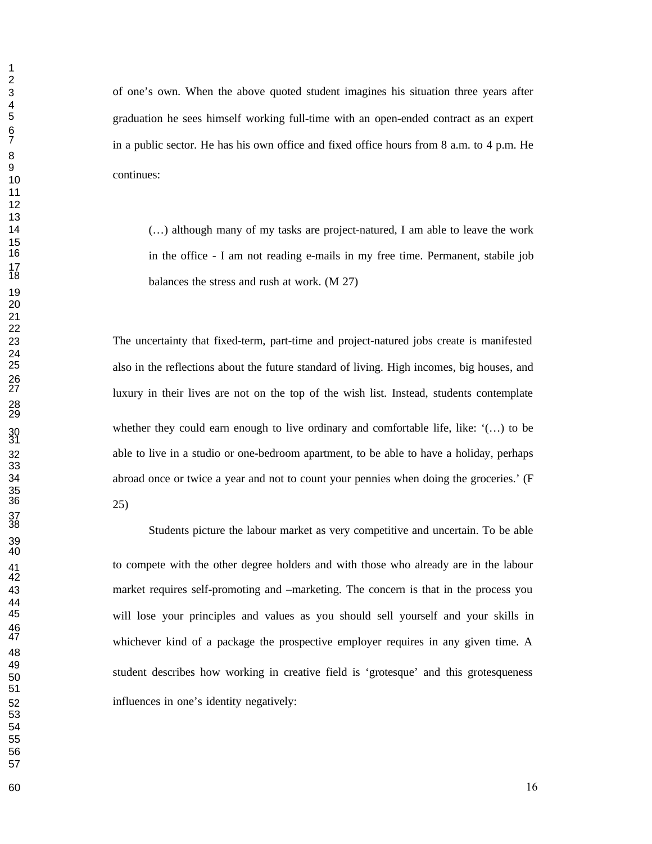of one's own. When the above quoted student imagines his situation three years after graduation he sees himself working full-time with an open-ended contract as an expert in a public sector. He has his own office and fixed office hours from a.m. to  $4$  p.m. He continues:

 (…) although many of my tasks are project-natured, I am able to leave the work in the office - I am not reading e-mails in my free time. Permanent, stabile job balances the stress and rush at work.  $(M 27)$ 

 The uncertainty that fixed-term, part-time and project-natured jobs create is manifested also in the reflections about the future standard of living. High incomes, big houses, and luxury in their lives are not on the top of the wish list. Instead, students contemplate whether they could earn enough to live ordinary and comfortable life, like:  $'(\ldots)$  to be able to live in a studio or one-bedroom apartment, to be able to have a holiday, perhaps abroad once or twice a year and not to count your pennies when doing the groceries.' (F 25)

Students picture the labour market as very competitive and uncertain. To be able to compete with the other degree holders and with those who already are in the labour market requires self-promoting and –marketing. The concern is that in the process you will lose your principles and values as you should sell yourself and your skills in whichever kind of a package the prospective employer requires in any given time. A student describes how working in creative field is 'grotesque' and this grotesqueness influences in one's identity negatively: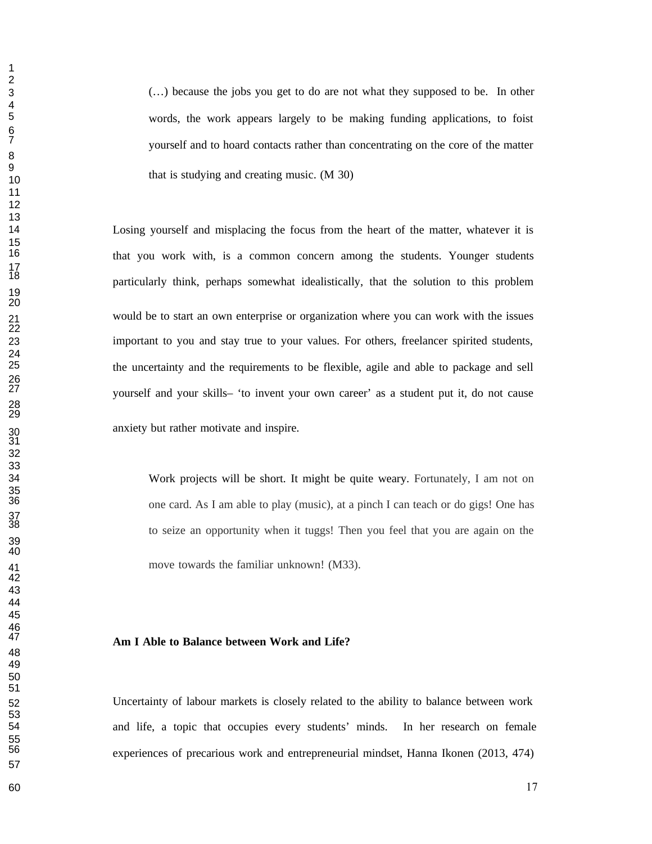(…) because the jobs you get to do are not what they supposed to be. In other words, the work appears largely to be making funding applications, to foist yourself and to hoard contacts rather than concentrating on the core of the matter that is studying and creating music. (M 30)

 Losing yourself and misplacing the focus from the heart of the matter, whatever it is that you work with, is a common concern among the students. Younger students particularly think, perhaps somewhat idealistically, that the solution to this problem would be to start an own enterprise or organization where you can work with the issues important to you and stay true to your values. For others, freelancer spirited students, the uncertainty and the requirements to be flexible, agile and able to package and sell yourself and your skills– 'to invent your own career' as a student put it, do not cause anxiety but rather motivate and inspire.

 Work projects will be short. It might be quite weary. Fortunately, I am not on one card. As I am able to play (music), at a pinch I can teach or do gigs! One has to seize an opportunity when it tuggs! Then you feel that you are again on the move towards the familiar unknown! (M33).

### **Am I Able to Balance between Work and Life?**

 Uncertainty of labour markets is closely related to the ability to balance between work and life, a topic that occupies every students' minds. In her research on female experiences of precarious work and entrepreneurial mindset, Hanna Ikonen (2013, 474)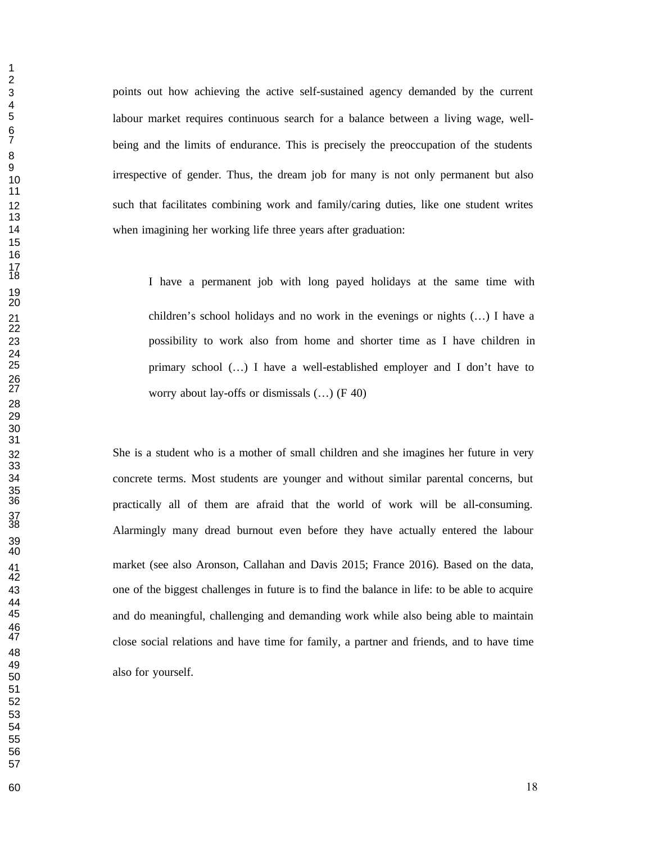points out how achieving the active self-sustained agency demanded by the current labour market requires continuous search for a balance between a living wage, wellbeing and the limits of endurance. This is precisely the preoccupation of the students irrespective of gender. Thus, the dream job for many is not only permanent but also such that facilitates combining work and family/caring duties, like one student writes when imagining her working life three years after graduation:

I have a permanent job with long payed holidays at the same time with children's school holidays and no work in the evenings or nights (…) I have a possibility to work also from home and shorter time as I have children in primary school (…) I have a well-established employer and I don't have to worry about lay-offs or dismissals  $(...)$  (F 40)

 She is a student who is a mother of small children and she imagines her future in very concrete terms. Most students are younger and without similar parental concerns, but practically all of them are afraid that the world of work will be all-consuming. Alarmingly many dread burnout even before they have actually entered the labour market (see also Aronson, Callahan and Davis 2015; France 2016). Based on the data, one of the biggest challenges in future is to find the balance in life: to be able to acquire and do meaningful, challenging and demanding work while also being able to maintain close social relations and have time for family, a partner and friends, and to have time also for yourself.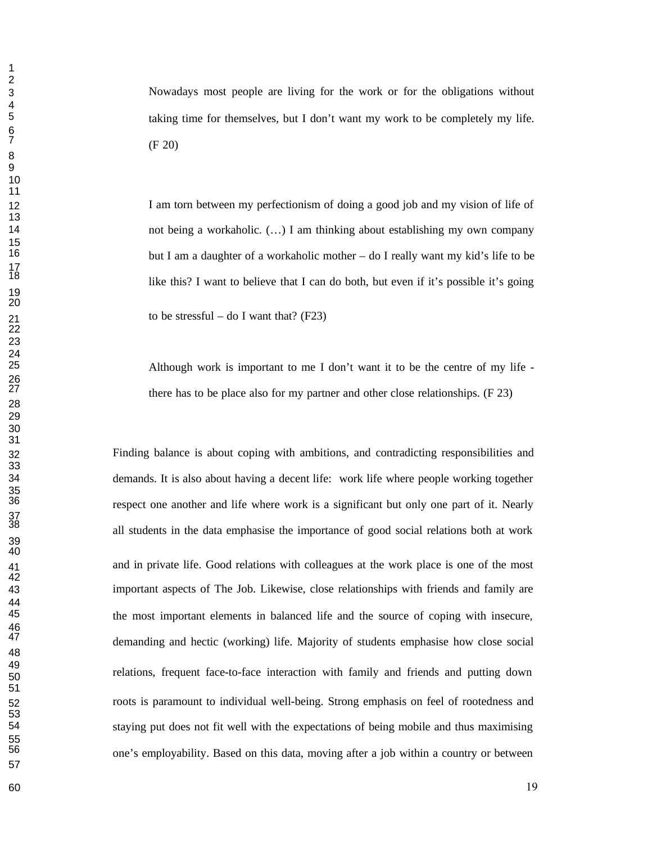Nowadays most people are living for the work or for the obligations without taking time for themselves, but I don't want my work to be completely my life.  $(F 20)$ 

12 I am torn between my perfectionism of doing a good job and my vision of life of not being a workaholic. (…) I am thinking about establishing my own company but I am a daughter of a workaholic mother – do I really want my kid's life to be like this? I want to believe that I can do both, but even if it's possible it's going 21 to be stressful – do I want that?  $(F23)$ 

 Although work is important to me I don't want it to be the centre of my life there has to be place also for my partner and other close relationships.  $(F 23)$ 

 Finding balance is about coping with ambitions, and contradicting responsibilities and demands. It is also about having a decent life: work life where people working together respect one another and life where work is a significant but only one part of it. Nearly all students in the data emphasise the importance of good social relations both at work and in private life. Good relations with colleagues at the work place is one of the most important aspects of The Job. Likewise, close relationships with friends and family are the most important elements in balanced life and the source of coping with insecure, demanding and hectic (working) life. Majority of students emphasise how close social relations, frequent face-to-face interaction with family and friends and putting down roots is paramount to individual well-being. Strong emphasis on feel of rootedness and staying put does not fit well with the expectations of being mobile and thus maximising one's employability. Based on this data, moving after a job within a country or between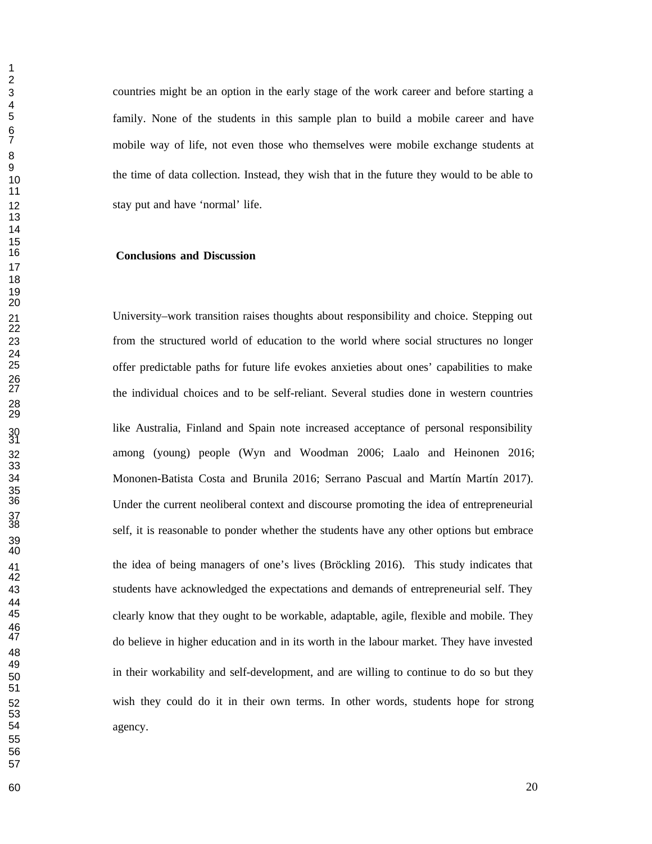countries might be an option in the early stage of the work career and before starting a family. None of the students in this sample plan to build a mobile career and have mobile way of life, not even those who themselves were mobile exchange students at the time of data collection. Instead, they wish that in the future they would to be able to stay put and have 'normal' life.

#### **Conclusions and Discussion**

 University–work transition raises thoughts about responsibility and choice. Stepping out from the structured world of education to the world where social structures no longer offer predictable paths for future life evokes anxieties about ones' capabilities to make the individual choices and to be self-reliant. Several studies done in western countries like Australia, Finland and Spain note increased acceptance of personal responsibility among (young) people (Wyn and Woodman 2006; Laalo and Heinonen 2016; Mononen-Batista Costa and Brunila 2016; Serrano Pascual and Martín Martín 2017). Under the current neoliberal context and discourse promoting the idea of entrepreneurial self, it is reasonable to ponder whether the students have any other options but embrace the idea of being managers of one's lives (Bröckling 2016). This study indicates that students have acknowledged the expectations and demands of entrepreneurial self. They clearly know that they ought to be workable, adaptable, agile, flexible and mobile. They do believe in higher education and in its worth in the labour market. They have invested in their workability and self-development, and are willing to continue to do so but they wish they could do it in their own terms. In other words, students hope for strong agency.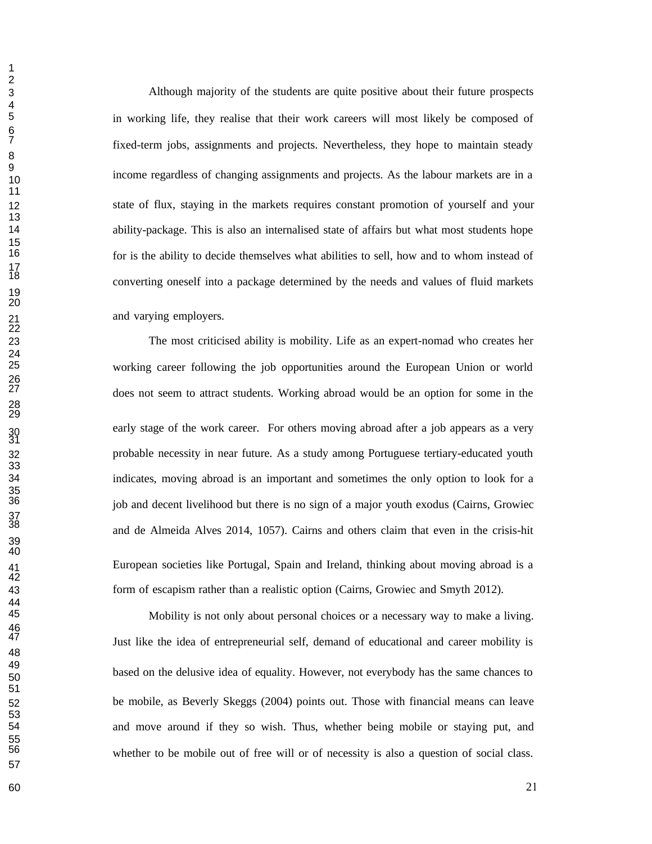Although majority of the students are quite positive about their future prospects in working life, they realise that their work careers will most likely be composed of fixed-term jobs, assignments and projects. Nevertheless, they hope to maintain steady income regardless of changing assignments and projects. As the labour markets are in a state of flux, staying in the markets requires constant promotion of yourself and your ability-package. This is also an internalised state of affairs but what most students hope for is the ability to decide themselves what abilities to sell, how and to whom instead of converting oneself into a package determined by the needs and values of fluid markets and varying employers.

 The most criticised ability is mobility. Life as an expert-nomad who creates her working career following the job opportunities around the European Union or world does not seem to attract students. Working abroad would be an option for some in the early stage of the work career. For others moving abroad after a job appears as a very probable necessity in near future. As a study among Portuguese tertiary-educated youth indicates, moving abroad is an important and sometimes the only option to look for a job and decent livelihood but there is no sign of a major youth exodus (Cairns, Growiec and de Almeida Alves 2014, 1057). Cairns and others claim that even in the crisis-hit European societies like Portugal, Spain and Ireland, thinking about moving abroad is a form of escapism rather than a realistic option (Cairns, Growiec and Smyth 2012).

Mobility is not only about personal choices or a necessary way to make a living. Just like the idea of entrepreneurial self, demand of educational and career mobility is based on the delusive idea of equality. However, not everybody has the same chances to be mobile, as Beverly Skeggs (2004) points out. Those with financial means can leave and move around if they so wish. Thus, whether being mobile or staying put, and whether to be mobile out of free will or of necessity is also a question of social class.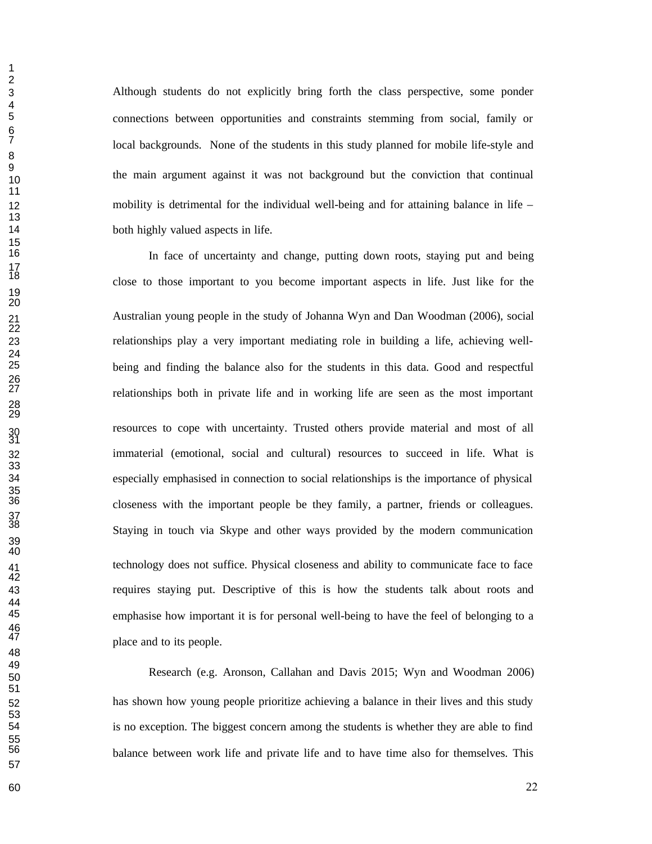Although students do not explicitly bring forth the class perspective, some ponder connections between opportunities and constraints stemming from social, family or local backgrounds. None of the students in this study planned for mobile life-style and the main argument against it was not background but the conviction that continual mobility is detrimental for the individual well-being and for attaining balance in life – both highly valued aspects in life.

 In face of uncertainty and change, putting down roots, staying put and being close to those important to you become important aspects in life. Just like for the Australian young people in the study of Johanna Wyn and Dan Woodman (2006), social relationships play a very important mediating role in building a life, achieving well- being and finding the balance also for the students in this data. Good and respectful relationships both in private life and in working life are seen as the most important resources to cope with uncertainty. Trusted others provide material and most of all immaterial (emotional, social and cultural) resources to succeed in life. What is especially emphasised in connection to social relationships is the importance of physical closeness with the important people be they family, a partner, friends or colleagues. Staying in touch via Skype and other ways provided by the modern communication technology does not suffice. Physical closeness and ability to communicate face to face requires staying put. Descriptive of this is how the students talk about roots and emphasise how important it is for personal well-being to have the feel of belonging to a place and to its people.

 Research (e.g. Aronson, Callahan and Davis 2015; Wyn and Woodman 2006) has shown how young people prioritize achieving a balance in their lives and this study is no exception. The biggest concern among the students is whether they are able to find balance between work life and private life and to have time also for themselves. This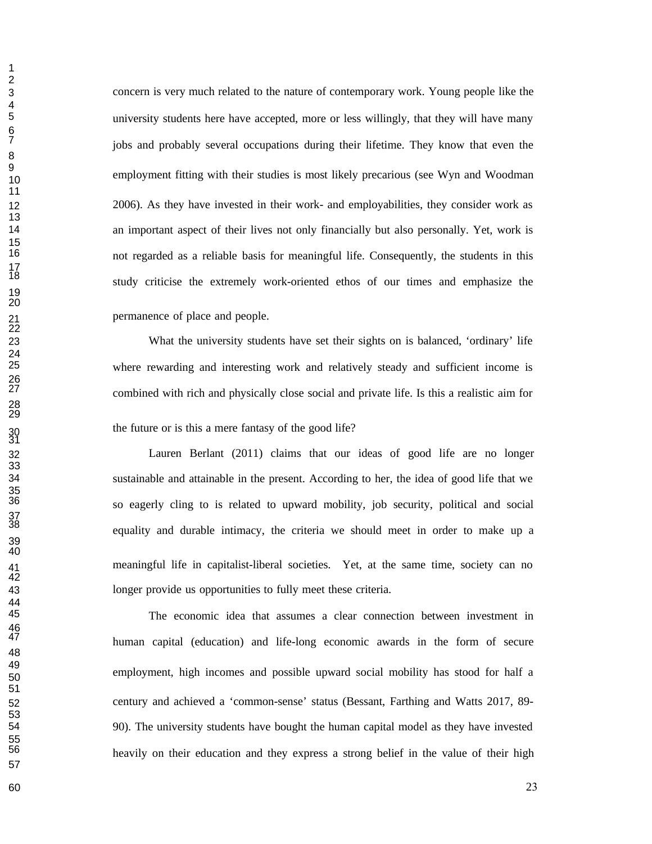concern is very much related to the nature of contemporary work. Young people like the university students here have accepted, more or less willingly, that they will have many jobs and probably several occupations during their lifetime. They know that even the employment fitting with their studies is most likely precarious (see Wyn and Woodman 2006). As they have invested in their work- and employabilities, they consider work as an important aspect of their lives not only financially but also personally. Yet, work is not regarded as a reliable basis for meaningful life. Consequently, the students in this study criticise the extremely work-oriented ethos of our times and emphasize the permanence of place and people.

 What the university students have set their sights on is balanced, 'ordinary' life where rewarding and interesting work and relatively steady and sufficient income is combined with rich and physically close social and private life. Is this a realistic aim for the future or is this a mere fantasy of the good life?

 Lauren Berlant (2011) claims that our ideas of good life are no longer sustainable and attainable in the present. According to her, the idea of good life that we so eagerly cling to is related to upward mobility, job security, political and social equality and durable intimacy, the criteria we should meet in order to make up a meaningful life in capitalist-liberal societies. Yet, at the same time, society can no longer provide us opportunities to fully meet these criteria.

The economic idea that assumes a clear connection between investment in human capital (education) and life-long economic awards in the form of secure employment, high incomes and possible upward social mobility has stood for half a century and achieved a 'common-sense' status (Bessant, Farthing and Watts 2017, 89- 90). The university students have bought the human capital model as they have invested heavily on their education and they express a strong belief in the value of their high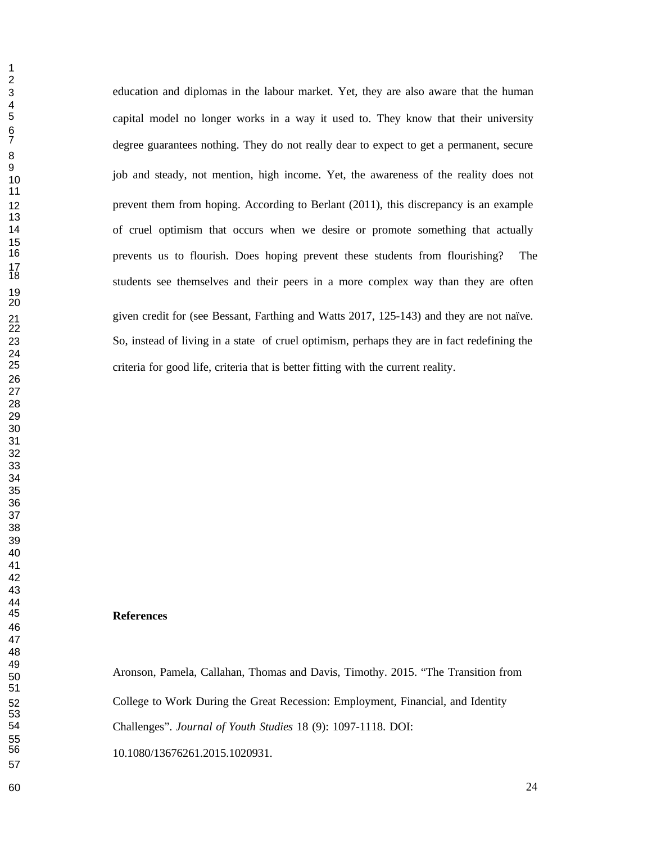4<br>5

 education and diplomas in the labour market. Yet, they are also aware that the human capital model no longer works in a way it used to. They know that their university degree guarantees nothing. They do not really dear to expect to get a permanent, secure job and steady, not mention, high income. Yet, the awareness of the reality does not prevent them from hoping. According to Berlant (2011), this discrepancy is an example of cruel optimism that occurs when we desire or promote something that actually prevents us to flourish. Does hoping prevent these students from flourishing? The students see themselves and their peers in a more complex way than they are often given credit for (see Bessant, Farthing and Watts 2017, 125-143) and they are not naïve. So, instead of living in a state of cruel optimism, perhaps they are in fact redefining the criteria for good life, criteria that is better fitting with the current reality.

## **References**

 Aronson, Pamela, Callahan, Thomas and Davis, Timothy. 2015. "The Transition from College to Work During the Great Recession: Employment, Financial, and Identity Challenges". *Journal of Youth Studies* 18 (9): 1097-1118. DOI: 10.1080/13676261.2015.1020931.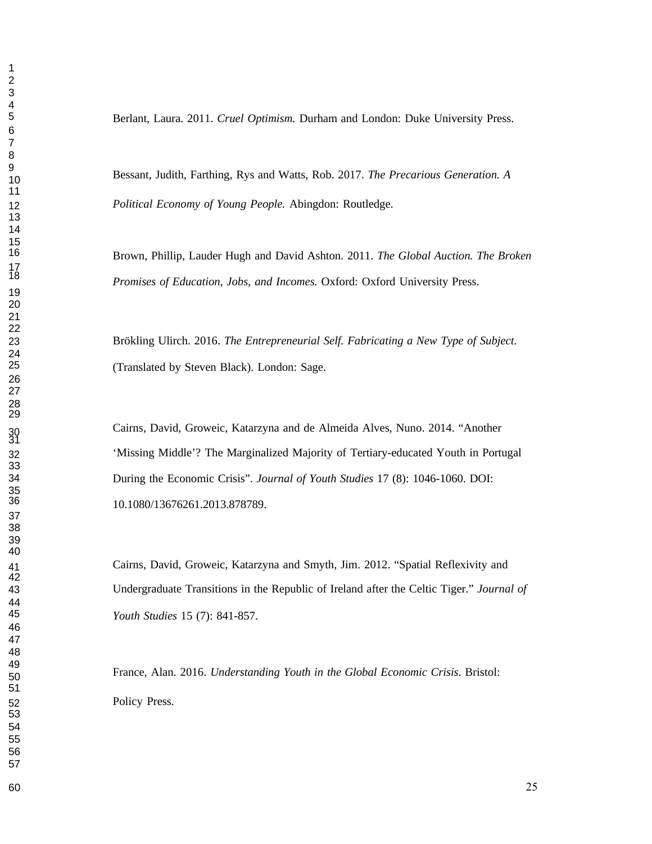Berlant, Laura. 2011. *Cruel Optimism.* Durham and London: Duke University Press.

 Bessant, Judith, Farthing, Rys and Watts, Rob. 2017. *The Precarious Generation. A Political Economy of Young People.* Abingdon: Routledge.

> Brown, Phillip, Lauder Hugh and David Ashton. 2011. *The Global Auction. The Broken Promises of Education, Jobs, and Incomes.* Oxford: Oxford University Press.

 Brökling Ulirch. 2016. *The Entrepreneurial Self. Fabricating a New Type of Subject*. (Translated by Steven Black). London: Sage.

Cairns, David, Groweic, Katarzyna and de Almeida Alves, Nuno. 2014. "Another 'Missing Middle'? The Marginalized Majority of Tertiary-educated Youth in Portugal During the Economic Crisis". *Journal of Youth Studies* 17 (8): 1046-1060. DOI: 10.1080/13676261.2013.878789.

 Cairns, David, Groweic, Katarzyna and Smyth, Jim. 2012. "Spatial Reflexivity and Undergraduate Transitions in the Republic of Ireland after the Celtic Tiger." *Journal of Youth Studies* 15 (7): 841-857.

 France, Alan. 2016. *Understanding Youth in the Global Economic Crisis*. Bristol: Policy Press.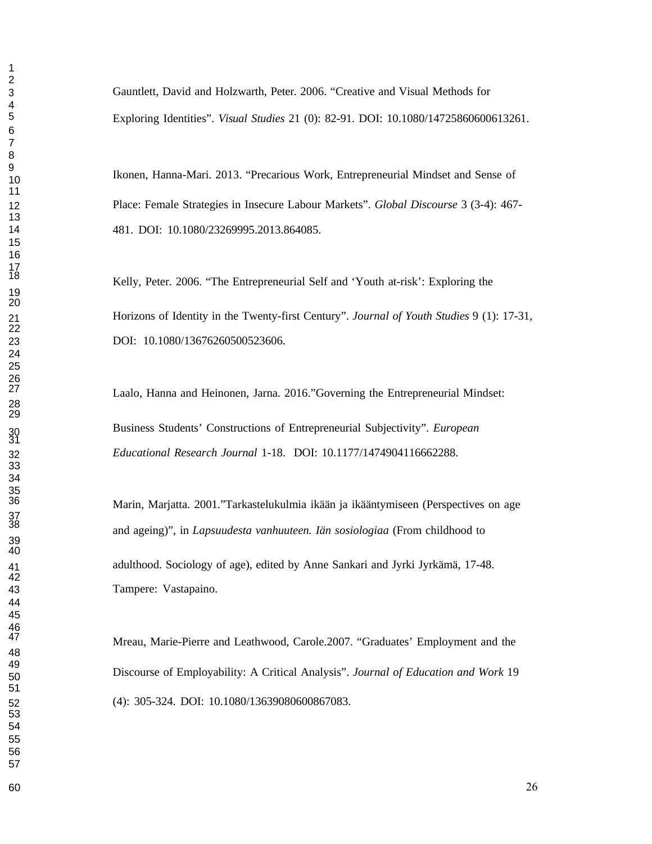Gauntlett, David and Holzwarth, Peter. 2006. "Creative and Visual Methods for Exploring Identities". *Visual Studies* 21 (0): 82-91. DOI: 10.1080/14725860600613261.

 Ikonen, Hanna-Mari. 2013. "Precarious Work, Entrepreneurial Mindset and Sense of Place: Female Strategies in Insecure Labour Markets". *Global Discourse* 3 (3-4): 467- 481. DOI: 10.1080/23269995.2013.864085.

Kelly, Peter. 2006. "The Entrepreneurial Self and 'Youth at-risk': Exploring the Horizons of Identity in the Twenty-first Century". *Journal of Youth Studies* 9 (1): 17-31, DOI: 10.1080/13676260500523606.

Laalo, Hanna and Heinonen, Jarna. 2016."Governing the Entrepreneurial Mindset: Business Students' Constructions of Entrepreneurial Subjectivity". *European Educational Research Journal* 1-18. DOI: 10.1177/1474904116662288.

 Marin, Marjatta. 2001."Tarkastelukulmia ikään ja ikääntymiseen (Perspectives on age and ageing)", in *Lapsuudesta vanhuuteen. Iän sosiologiaa* (From childhood to adulthood. Sociology of age), edited by Anne Sankari and Jyrki Jyrkämä, 17-48. Tampere: Vastapaino.

 Mreau, Marie-Pierre and Leathwood, Carole.2007. "Graduates' Employment and the Discourse of Employability: A Critical Analysis". *Journal of Education and Work* <sup>19</sup> (4): 305-324. DOI: 10.1080/13639080600867083.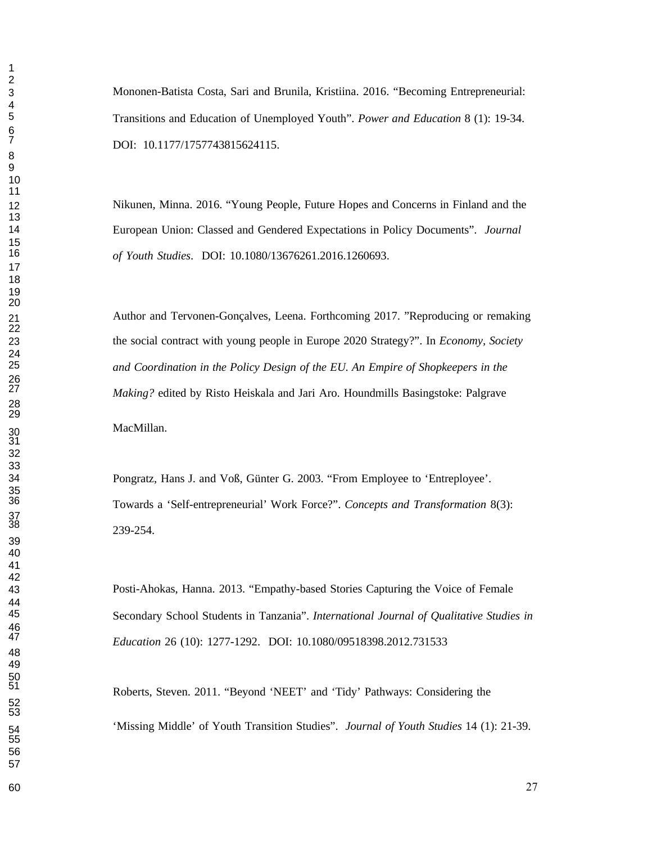Mononen-Batista Costa, Sari and Brunila, Kristiina. 2016. "Becoming Entrepreneurial: Transitions and Education of Unemployed Youth". *Power and Education* 8 (1): 19-34. DOI: 10.1177/1757743815624115.

 Nikunen, Minna. 2016. "Young People, Future Hopes and Concerns in Finland and the European Union: Classed and Gendered Expectations in Policy Documents". *Journal of Youth Studies*. DOI: 10.1080/13676261.2016.1260693.

 Author and Tervonen-Gonçalves, Leena. Forthcoming 2017. "Reproducing or remaking the social contract with young people in Europe 2020 Strategy?". In *Economy, Society and Coordination in the Policy Design of the EU. An Empire of Shopkeepers in the Making?* edited by Risto Heiskala and Jari Aro. Houndmills Basingstoke: Palgrave MacMillan.

 Pongratz, Hans J. and Voß, Günter G. 2003. "From Employee to 'Entreployee'. Towards a 'Self-entrepreneurial' Work Force?". *Concepts and Transformation* 8(3): 239-254.

 Posti-Ahokas, Hanna. 2013. "Empathy-based Stories Capturing the Voice of Female Secondary School Students in Tanzania". *International Journal of Qualitative Studies in Education* 26 (10): 1277-1292. DOI: 10.1080/09518398.2012.731533

> Roberts, Steven. 2011. "Beyond 'NEET' and 'Tidy' Pathways: Considering the 'Missing Middle' of Youth Transition Studies". *Journal of Youth Studies* 14 (1): 21-39.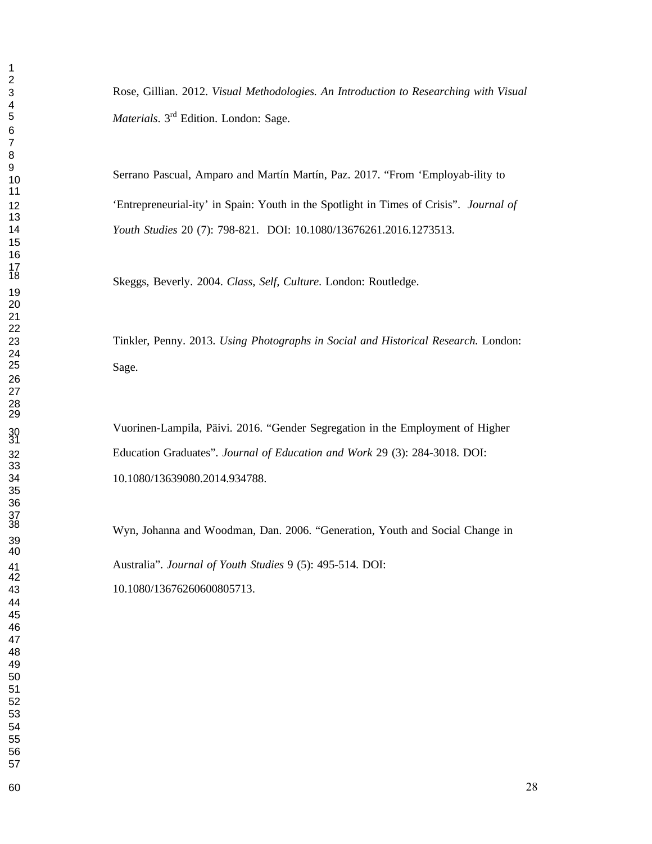Rose, Gillian. 2012. *Visual Methodologies. An Introduction to Researching with Visual Materials*. 3rd Edition. London: Sage.

Serrano Pascual, Amparo and Martín Martín, Paz. 2017. "From 'Employab-ility to 'Entrepreneurial-ity' in Spain: Youth in the Spotlight in Times of Crisis". *Journal of Youth Studies* 20 (7): 798-821. DOI: 10.1080/13676261.2016.1273513.

Skeggs, Beverly. 2004. *Class, Self, Culture*. London: Routledge.

 Tinkler, Penny. 2013. *Using Photographs in Social and Historical Research.* London: Sage.

 Vuorinen-Lampila, Päivi. 2016. "Gender Segregation in the Employment of Higher Education Graduates". *Journal of Education and Work* 29 (3): 284-3018. DOI: 10.1080/13639080.2014.934788.

 Wyn, Johanna and Woodman, Dan. 2006. "Generation, Youth and Social Change in Australia". *Journal of Youth Studies* 9 (5): 495-514. DOI: 10.1080/13676260600805713.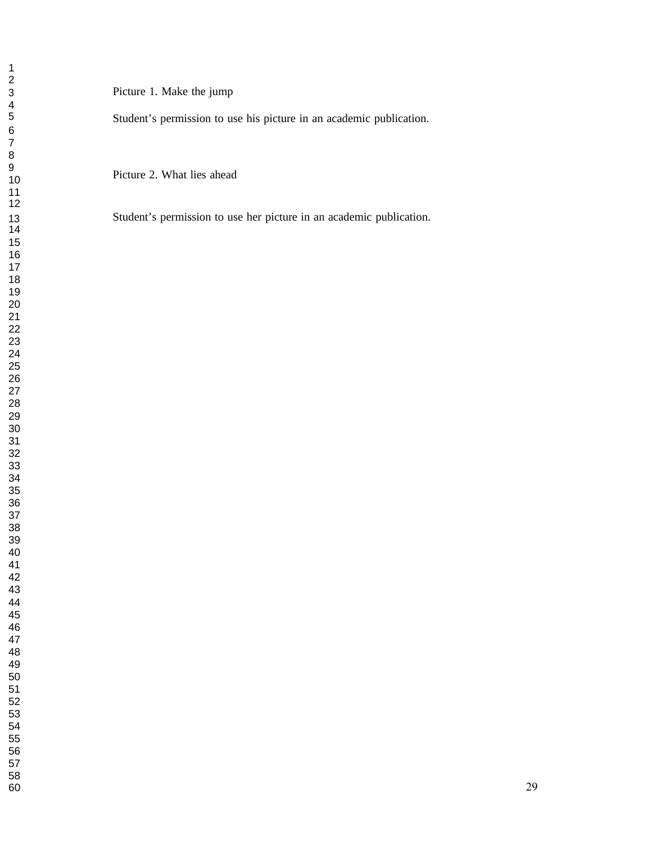1<br>
2<br>
2<br>
3<br>
3 Picture 1. Make the jump<br>
4<br>
5<br>
5<br>
5<br>
6<br>
7<br>
7<br>
8<br>
9<br>
Picture 2. What lies ahead

Student's permission to use her picture in an academic publication.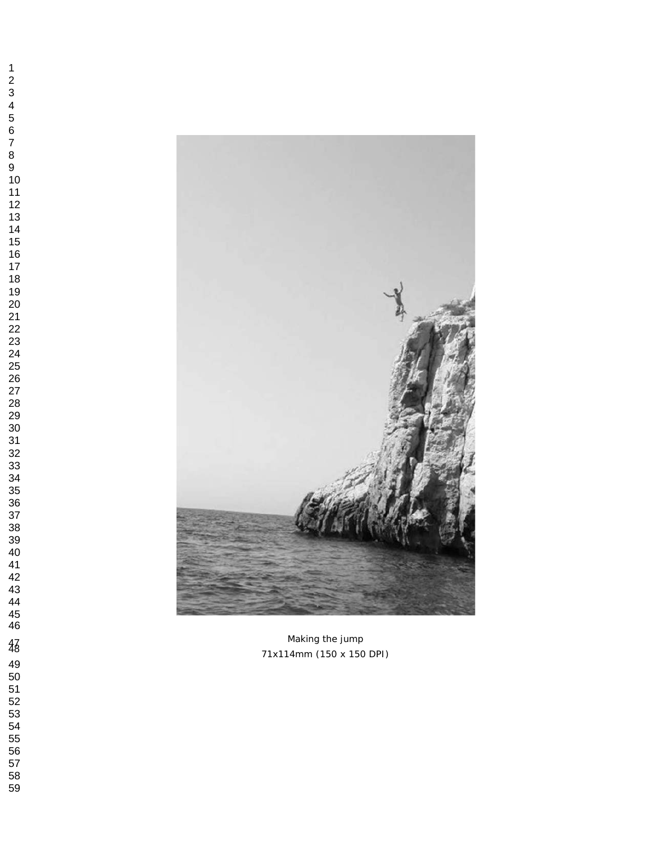

 $\frac{47}{8}$  Making the jump 71x114mm (150 x 150 DPI)